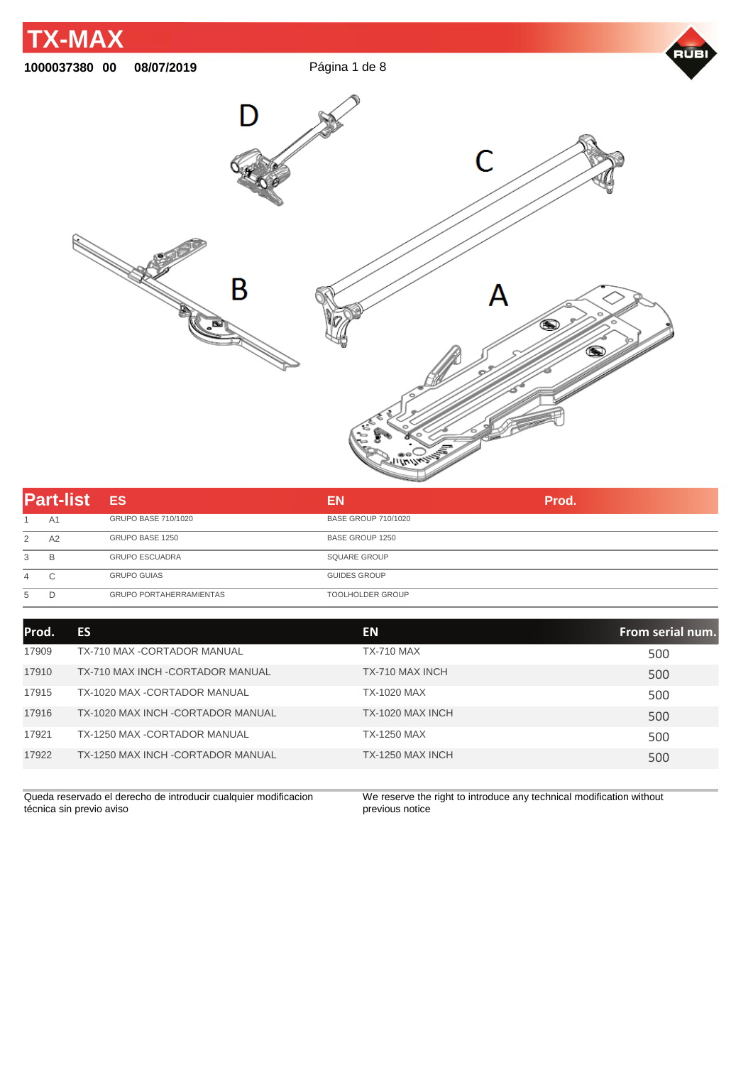

| <b>Part-list</b> |                | <b>ES</b>                      | EN                         | Prod. |
|------------------|----------------|--------------------------------|----------------------------|-------|
|                  | A <sub>1</sub> | GRUPO BASE 710/1020            | <b>BASE GROUP 710/1020</b> |       |
| 2                | A2             | GRUPO BASE 1250                | BASE GROUP 1250            |       |
| 3                | B              | <b>GRUPO ESCUADRA</b>          | <b>SQUARE GROUP</b>        |       |
| $\overline{4}$   | $\sim$         | <b>GRUPO GUIAS</b>             | <b>GUIDES GROUP</b>        |       |
| 5                |                | <b>GRUPO PORTAHERRAMIENTAS</b> | <b>TOOLHOLDER GROUP</b>    |       |

| Prod. | ES                                 | <b>EN</b>          | From serial num. |
|-------|------------------------------------|--------------------|------------------|
| 17909 | TX-710 MAX -CORTADOR MANUAL        | <b>TX-710 MAX</b>  | 500              |
| 17910 | TX-710 MAX INCH - CORTADOR MANUAL  | TX-710 MAX INCH    | 500              |
| 17915 | TX-1020 MAX -CORTADOR MANUAL       | <b>TX-1020 MAX</b> | 500              |
| 17916 | TX-1020 MAX INCH - CORTADOR MANUAL | TX-1020 MAX INCH   | 500              |
| 17921 | TX-1250 MAX -CORTADOR MANUAL       | TX-1250 MAX        | 500              |
| 17922 | TX-1250 MAX INCH - CORTADOR MANUAL | TX-1250 MAX INCH   | 500              |

Queda reservado el derecho de introducir cualquier modificacion técnica sin previo aviso

We reserve the right to introduce any technical modification without previous notice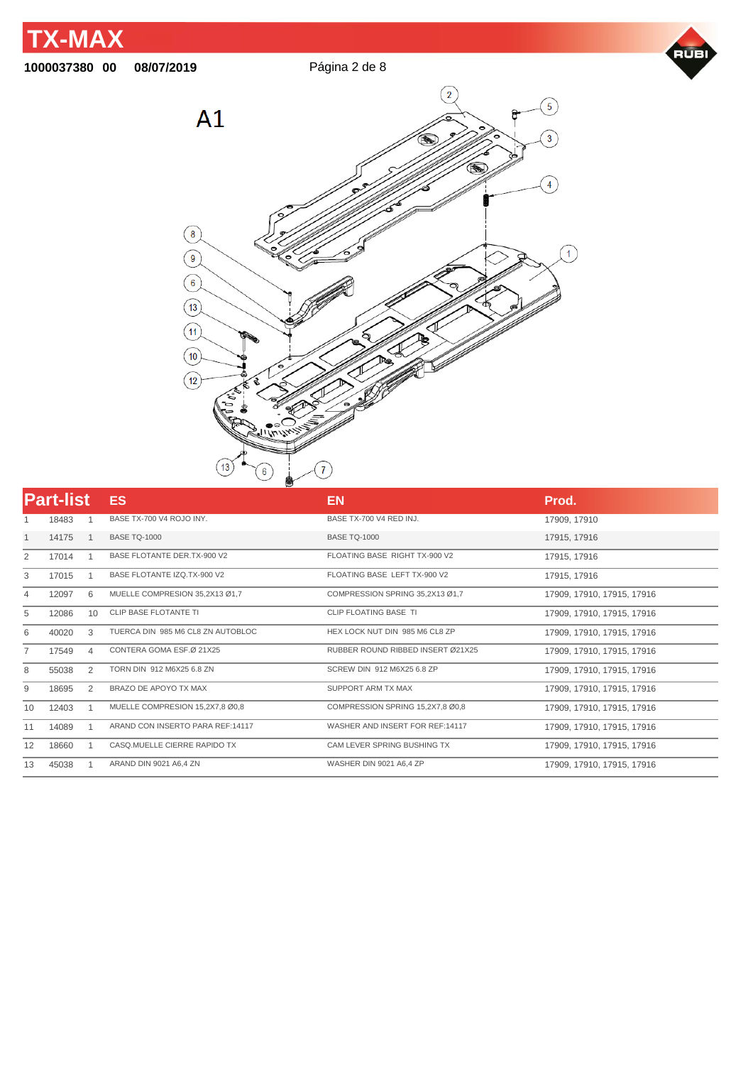





| <b>Part-list</b> |       |                | ES                                | EN                                | Prod.                      |
|------------------|-------|----------------|-----------------------------------|-----------------------------------|----------------------------|
|                  | 18483 |                | BASE TX-700 V4 ROJO INY.          | BASE TX-700 V4 RED INJ.           | 17909, 17910               |
| 1                | 14175 |                | <b>BASE TQ-1000</b>               | <b>BASE TQ-1000</b>               | 17915, 17916               |
| 2                | 17014 |                | BASE FLOTANTE DER.TX-900 V2       | FLOATING BASE RIGHT TX-900 V2     | 17915, 17916               |
| 3                | 17015 |                | BASE FLOTANTE IZQ.TX-900 V2       | FLOATING BASE LEFT TX-900 V2      | 17915, 17916               |
| 4                | 12097 | 6              | MUELLE COMPRESION 35,2X13 Ø1,7    | COMPRESSION SPRING 35,2X13 Ø1,7   | 17909, 17910, 17915, 17916 |
| 5                | 12086 | 10             | <b>CLIP BASE FLOTANTE TI</b>      | CLIP FLOATING BASE TI             | 17909, 17910, 17915, 17916 |
| 6                | 40020 | 3              | TUERCA DIN 985 M6 CL8 ZN AUTOBLOC | HEX LOCK NUT DIN 985 M6 CL8 ZP    | 17909, 17910, 17915, 17916 |
| $\overline{7}$   | 17549 | $\overline{4}$ | CONTERA GOMA ESF.Ø 21X25          | RUBBER ROUND RIBBED INSERT Ø21X25 | 17909, 17910, 17915, 17916 |
| 8                | 55038 | $\overline{2}$ | TORN DIN 912 M6X25 6.8 ZN         | SCREW DIN 912 M6X25 6.8 ZP        | 17909, 17910, 17915, 17916 |
| 9                | 18695 | $\overline{2}$ | BRAZO DE APOYO TX MAX             | <b>SUPPORT ARM TX MAX</b>         | 17909, 17910, 17915, 17916 |
| 10               | 12403 |                | MUELLE COMPRESION 15,2X7,8 Ø0,8   | COMPRESSION SPRING 15,2X7,8 Ø0,8  | 17909, 17910, 17915, 17916 |
| 11               | 14089 |                | ARAND CON INSERTO PARA REF:14117  | WASHER AND INSERT FOR REF:14117   | 17909, 17910, 17915, 17916 |
| 12               | 18660 |                | CASQ.MUELLE CIERRE RAPIDO TX      | CAM LEVER SPRING BUSHING TX       | 17909, 17910, 17915, 17916 |
| 13               | 45038 |                | ARAND DIN 9021 A6,4 ZN            | WASHER DIN 9021 A6,4 ZP           | 17909, 17910, 17915, 17916 |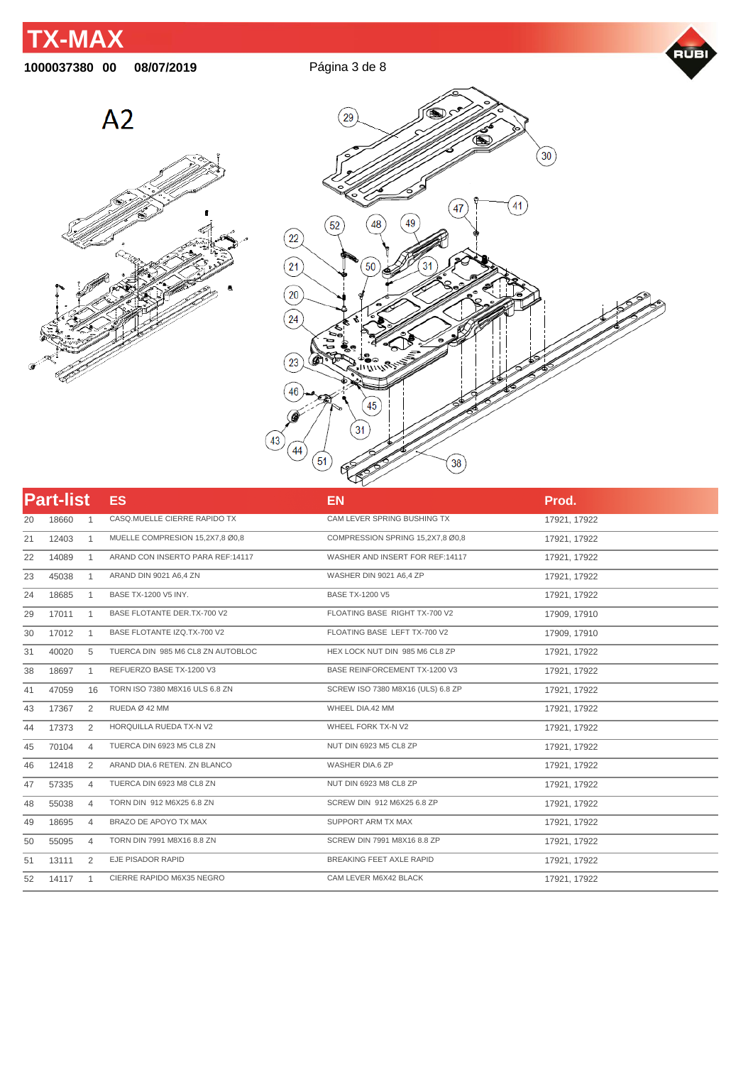## **TX-MAX**

## **00 08/07/2019** Página 3 de 8







|    | <b>Part-list</b> |                | ES <sub></sub>                    | <b>EN</b>                         | Prod.        |
|----|------------------|----------------|-----------------------------------|-----------------------------------|--------------|
| 20 | 18660            | -1             | CASQ.MUELLE CIERRE RAPIDO TX      | CAM LEVER SPRING BUSHING TX       | 17921, 17922 |
| 21 | 12403            | 1              | MUELLE COMPRESION 15,2X7,8 Ø0,8   | COMPRESSION SPRING 15,2X7,8 Ø0,8  | 17921, 17922 |
| 22 | 14089            | $\mathbf{1}$   | ARAND CON INSERTO PARA REF:14117  | WASHER AND INSERT FOR REF:14117   | 17921, 17922 |
| 23 | 45038            | 1              | ARAND DIN 9021 A6,4 ZN            | WASHER DIN 9021 A6,4 ZP           | 17921, 17922 |
| 24 | 18685            | $\mathbf{1}$   | BASE TX-1200 V5 INY.              | <b>BASE TX-1200 V5</b>            | 17921, 17922 |
| 29 | 17011            | $\overline{1}$ | BASE FLOTANTE DER.TX-700 V2       | FLOATING BASE RIGHT TX-700 V2     | 17909, 17910 |
| 30 | 17012            | 1              | BASE FLOTANTE IZQ.TX-700 V2       | FLOATING BASE LEFT TX-700 V2      | 17909, 17910 |
| 31 | 40020            | 5              | TUERCA DIN 985 M6 CL8 ZN AUTOBLOC | HEX LOCK NUT DIN 985 M6 CL8 ZP    | 17921, 17922 |
| 38 | 18697            | 1              | REFUERZO BASE TX-1200 V3          | BASE REINFORCEMENT TX-1200 V3     | 17921, 17922 |
| 41 | 47059            | 16             | TORN ISO 7380 M8X16 ULS 6.8 ZN    | SCREW ISO 7380 M8X16 (ULS) 6.8 ZP | 17921, 17922 |
| 43 | 17367            | 2              | RUEDA Ø 42 MM                     | WHEEL DIA.42 MM                   | 17921, 17922 |
| 44 | 17373            | 2              | HORQUILLA RUEDA TX-N V2           | WHEEL FORK TX-N V2                | 17921, 17922 |
| 45 | 70104            | 4              | TUERCA DIN 6923 M5 CL8 ZN         | NUT DIN 6923 M5 CL8 ZP            | 17921, 17922 |
| 46 | 12418            | 2              | ARAND DIA.6 RETEN. ZN BLANCO      | WASHER DIA.6 ZP                   | 17921, 17922 |
| 47 | 57335            | $\overline{4}$ | TUERCA DIN 6923 M8 CL8 ZN         | NUT DIN 6923 M8 CL8 ZP            | 17921, 17922 |
| 48 | 55038            | 4              | TORN DIN 912 M6X25 6.8 ZN         | SCREW DIN 912 M6X25 6.8 ZP        | 17921, 17922 |
| 49 | 18695            | $\overline{4}$ | BRAZO DE APOYO TX MAX             | SUPPORT ARM TX MAX                | 17921, 17922 |
| 50 | 55095            | 4              | TORN DIN 7991 M8X16 8.8 ZN        | SCREW DIN 7991 M8X16 8.8 ZP       | 17921, 17922 |
| 51 | 13111            | 2              | EJE PISADOR RAPID                 | BREAKING FEET AXLE RAPID          | 17921, 17922 |
| 52 | 14117            | $\overline{1}$ | CIERRE RAPIDO M6X35 NEGRO         | CAM LEVER M6X42 BLACK             | 17921, 17922 |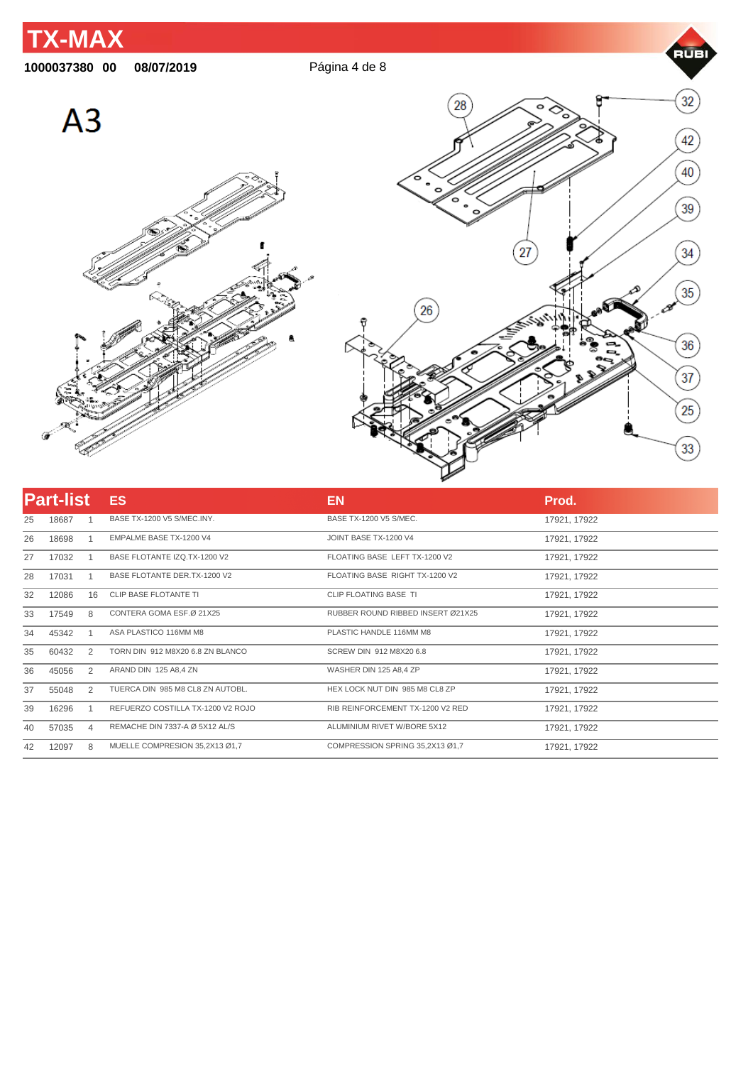

| <b>Part-list</b> |       |                | <b>ES</b>                         | <b>EN</b>                         | Prod.        |
|------------------|-------|----------------|-----------------------------------|-----------------------------------|--------------|
| 25               | 18687 |                | BASE TX-1200 V5 S/MEC.INY.        | BASE TX-1200 V5 S/MEC.            | 17921, 17922 |
| 26               | 18698 |                | EMPALME BASE TX-1200 V4           | JOINT BASE TX-1200 V4             | 17921, 17922 |
| 27               | 17032 |                | BASE FLOTANTE IZQ.TX-1200 V2      | FLOATING BASE LEFT TX-1200 V2     | 17921, 17922 |
| 28               | 17031 |                | BASE FLOTANTE DER.TX-1200 V2      | FLOATING BASE RIGHT TX-1200 V2    | 17921, 17922 |
| 32               | 12086 | 16             | CLIP BASE FLOTANTE TI             | CLIP FLOATING BASE TI             | 17921, 17922 |
| 33               | 17549 | 8              | CONTERA GOMA ESF.Ø 21X25          | RUBBER ROUND RIBBED INSERT Ø21X25 | 17921, 17922 |
| 34               | 45342 |                | ASA PLASTICO 116MM M8             | PLASTIC HANDLE 116MM M8           | 17921, 17922 |
| 35               | 60432 | 2              | TORN DIN 912 M8X20 6.8 ZN BLANCO  | SCREW DIN 912 M8X20 6.8           | 17921, 17922 |
| 36               | 45056 | 2              | ARAND DIN 125 A8,4 ZN             | WASHER DIN 125 A8,4 ZP            | 17921, 17922 |
| 37               | 55048 | 2              | TUERCA DIN 985 M8 CL8 ZN AUTOBL.  | HEX LOCK NUT DIN 985 M8 CL8 ZP    | 17921, 17922 |
| 39               | 16296 |                | REFUERZO COSTILLA TX-1200 V2 ROJO | RIB REINFORCEMENT TX-1200 V2 RED  | 17921, 17922 |
| 40               | 57035 | $\overline{4}$ | REMACHE DIN 7337-A Ø 5X12 AL/S    | ALUMINIUM RIVET W/BORE 5X12       | 17921, 17922 |
| 42               | 12097 | 8              | MUELLE COMPRESION 35.2X13 Ø1.7    | COMPRESSION SPRING 35.2X13 Ø1.7   | 17921, 17922 |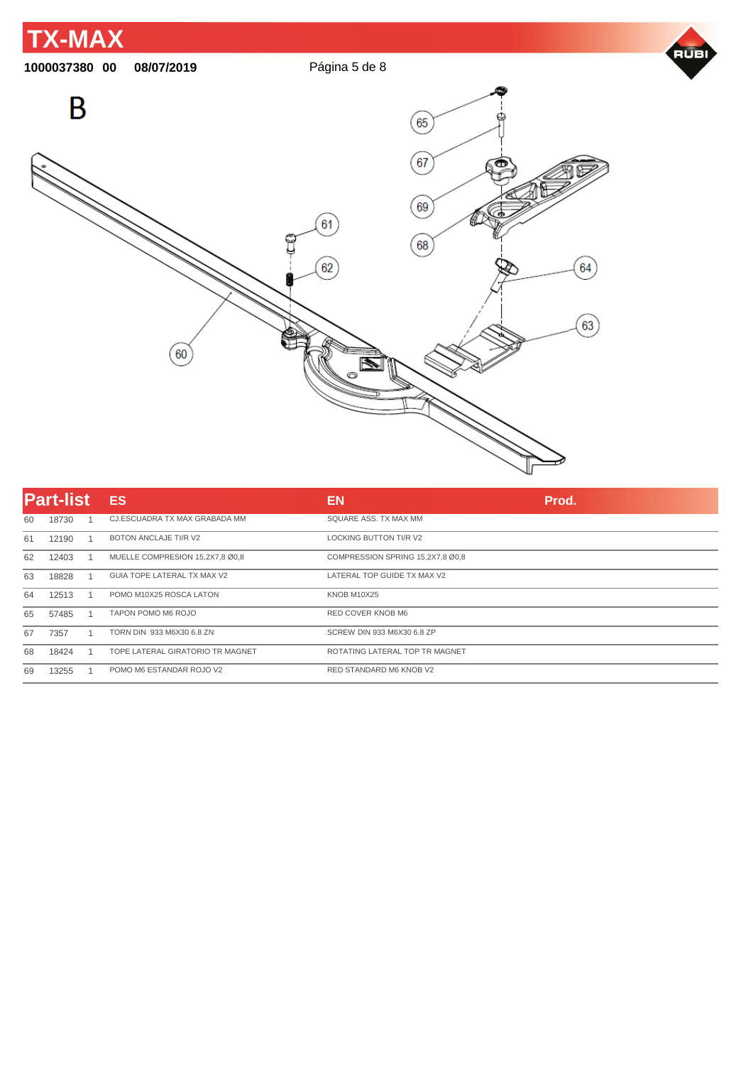

|    | <b>Part-list</b> | <b>ES</b>                        | EN                               | Prod. |
|----|------------------|----------------------------------|----------------------------------|-------|
| 60 | 18730            | CJ.ESCUADRA TX MAX GRABADA MM    | SQUARE ASS. TX MAX MM            |       |
| 61 | 12190            | BOTON ANCLAJE TI/R V2            | <b>LOCKING BUTTON TI/R V2</b>    |       |
| 62 | 12403            | MUELLE COMPRESION 15,2X7,8 Ø0,8  | COMPRESSION SPRING 15,2X7,8 Ø0,8 |       |
| 63 | 18828            | GUIA TOPE LATERAL TX MAX V2      | LATERAL TOP GUIDE TX MAX V2      |       |
| 64 | 12513            | POMO M10X25 ROSCA LATON          | <b>KNOB M10X25</b>               |       |
| 65 | 57485            | TAPON POMO M6 ROJO               | RED COVER KNOB M6                |       |
| 67 | 7357             | TORN DIN 933 M6X30 6.8 ZN        | SCREW DIN 933 M6X30 6.8 ZP       |       |
| 68 | 18424            | TOPE LATERAL GIRATORIO TR MAGNET | ROTATING LATERAL TOP TR MAGNET   |       |
| 69 | 13255            | POMO M6 ESTANDAR ROJO V2         | RED STANDARD M6 KNOB V2          |       |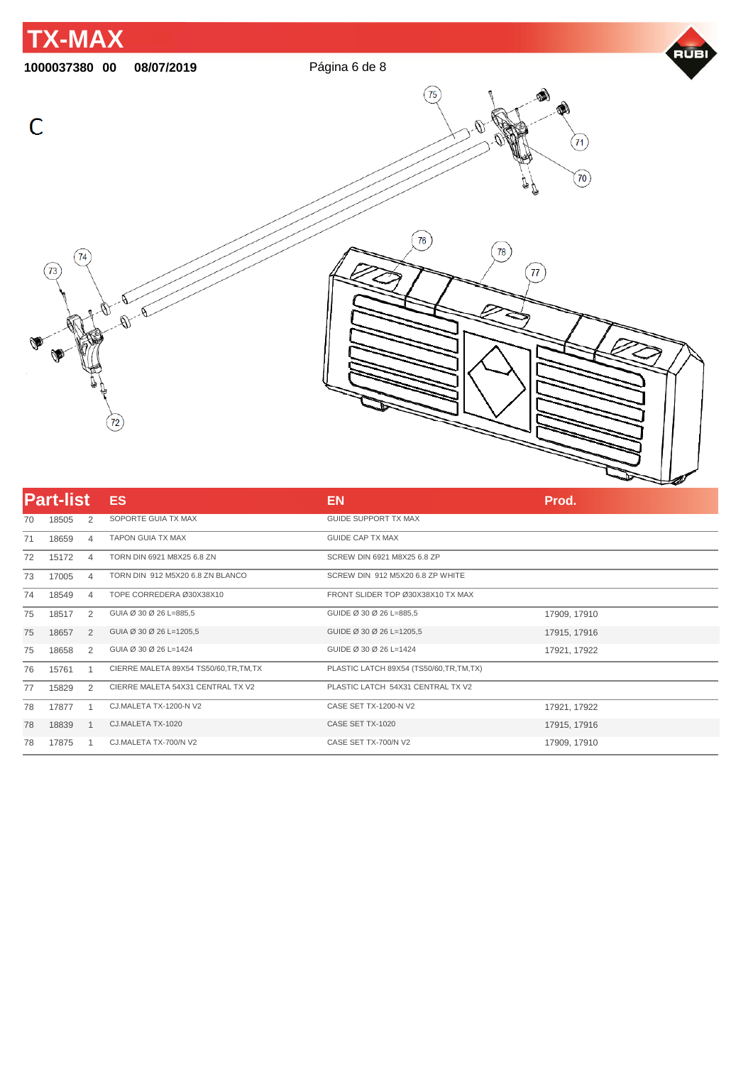

| <b>Part-list</b> |       |             | <b>ES</b>                               | <b>EN</b>                              | Prod.        |
|------------------|-------|-------------|-----------------------------------------|----------------------------------------|--------------|
| 70               | 18505 | 2           | SOPORTE GUIA TX MAX                     | <b>GUIDE SUPPORT TX MAX</b>            |              |
| 71               | 18659 | 4           | <b>TAPON GUIA TX MAX</b>                | <b>GUIDE CAP TX MAX</b>                |              |
| 72               | 15172 | 4           | TORN DIN 6921 M8X25 6.8 ZN              | SCREW DIN 6921 M8X25 6.8 ZP            |              |
| 73               | 17005 | 4           | TORN DIN 912 M5X20 6.8 ZN BLANCO        | SCREW DIN 912 M5X20 6.8 ZP WHITE       |              |
| 74               | 18549 | 4           | TOPE CORREDERA Ø30X38X10                | FRONT SLIDER TOP Ø30X38X10 TX MAX      |              |
| 75               | 18517 | 2           | GUIA Ø 30 Ø 26 L=885,5                  | GUIDE Ø 30 Ø 26 L=885,5                | 17909, 17910 |
| 75               | 18657 | 2           | GUIA Ø 30 Ø 26 L=1205,5                 | GUIDE Ø 30 Ø 26 L=1205,5               | 17915, 17916 |
| 75               | 18658 | 2           | GUIA Ø 30 Ø 26 L=1424                   | GUIDE Ø 30 Ø 26 L=1424                 | 17921, 17922 |
| 76               | 15761 |             | CIERRE MALETA 89X54 TS50/60, TR, TM, TX | PLASTIC LATCH 89X54 (TS50/60,TR,TM,TX) |              |
| 77               | 15829 | 2           | CIERRE MALETA 54X31 CENTRAL TX V2       | PLASTIC LATCH 54X31 CENTRAL TX V2      |              |
| 78               | 17877 |             | CJ.MALETA TX-1200-N V2                  | CASE SET TX-1200-N V2                  | 17921, 17922 |
| 78               | 18839 | $\mathbf 1$ | CJ.MALETA TX-1020                       | CASE SET TX-1020                       | 17915, 17916 |
| 78               | 17875 |             | CJ.MALETA TX-700/N V2                   | CASE SET TX-700/N V2                   | 17909, 17910 |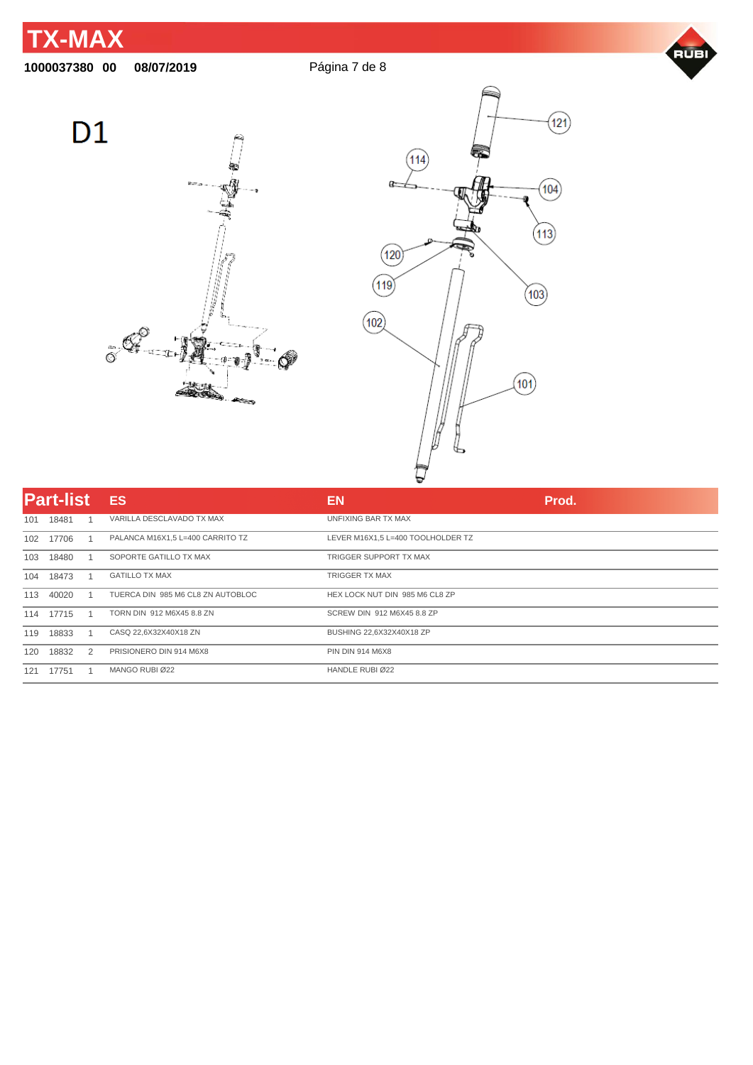**00 08/07/2019** Página 7 de 8







|     | <b>Part-list</b> |   | <b>ES</b>                         | <b>EN</b>                         | Prod. |
|-----|------------------|---|-----------------------------------|-----------------------------------|-------|
| 101 | 18481            |   | VARILLA DESCLAVADO TX MAX         | UNFIXING BAR TX MAX               |       |
| 102 | 17706            |   | PALANCA M16X1,5 L=400 CARRITO TZ  | LEVER M16X1.5 L=400 TOOLHOLDER TZ |       |
| 103 | 18480            |   | SOPORTE GATILLO TX MAX            | TRIGGER SUPPORT TX MAX            |       |
| 104 | 18473            |   | <b>GATILLO TX MAX</b>             | <b>TRIGGER TX MAX</b>             |       |
| 113 | 40020            |   | TUERCA DIN 985 M6 CL8 ZN AUTOBLOC | HEX LOCK NUT DIN 985 M6 CL8 ZP    |       |
| 114 | 17715            |   | TORN DIN 912 M6X45 8.8 ZN         | SCREW DIN 912 M6X45 8.8 ZP        |       |
| 119 | 18833            |   | CASQ 22,6X32X40X18 ZN             | BUSHING 22,6X32X40X18 ZP          |       |
| 120 | 18832            | 2 | PRISIONERO DIN 914 M6X8           | <b>PIN DIN 914 M6X8</b>           |       |
| 121 | 17751            |   | MANGO RUBI Ø22                    | HANDLE RUBI Ø22                   |       |